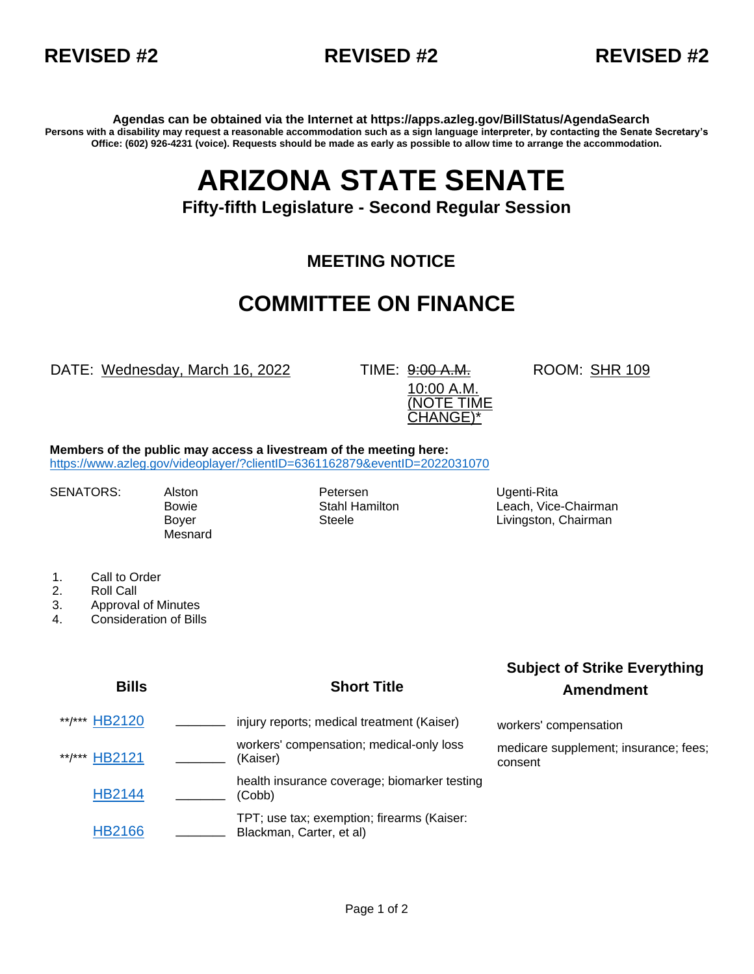



**Agendas can be obtained via the Internet at https://apps.azleg.gov/BillStatus/AgendaSearch Persons with a disability may request a reasonable accommodation such as a sign language interpreter, by contacting the Senate Secretary's Office: (602) 926-4231 (voice). Requests should be made as early as possible to allow time to arrange the accommodation.**

# **ARIZONA STATE SENATE**

### **Fifty-fifth Legislature - Second Regular Session**

### **MEETING NOTICE**

## **COMMITTEE ON FINANCE**

DATE: Wednesday, March 16, 2022 TIME: 9:00 A.M.

10:00 A.M. (NOTE TIME CHANGE)\*

ROOM: SHR 109

**Members of the public may access a livestream of the meeting here:**  <https://www.azleg.gov/videoplayer/?clientID=6361162879&eventID=2022031070>

**Mesnard** 

SENATORS: Alston **Petersen** Petersen Ugenti-Rita

Bowie **Stahl Hamilton** Leach, Vice-Chairman **Communist Communist Communist Communist** Boyer Steele Steele Livingston, Chairman

- 1. Call to Order
- 2. Roll Call
- 3. Approval of Minutes
- 4. Consideration of Bills

#### **Bills Short Title**

### **Subject of Strike Everything Amendment**

\*\*/\*\*\* [HB2120](https://apps.azleg.gov/BillStatus/BillOverview/76526) \_\_\_\_\_\_ injury reports; medical treatment (Kaiser) workers' compensation \*\*/\*\*\* [HB2121](https://apps.azleg.gov/BillStatus/BillOverview/76527) **\_\_\_\_** workers' compensation; medical-only loss (Kaiser) medicare supplement; insurance; fees; consent [HB2144](https://apps.azleg.gov/BillStatus/BillOverview/76553) **\_\_\_\_** health insurance coverage; biomarker testing (Cobb) [HB2166](https://apps.azleg.gov/BillStatus/BillOverview/76581) **\_\_\_\_** TPT; use tax; exemption; firearms (Kaiser: **Blackman, Carter, et al)**